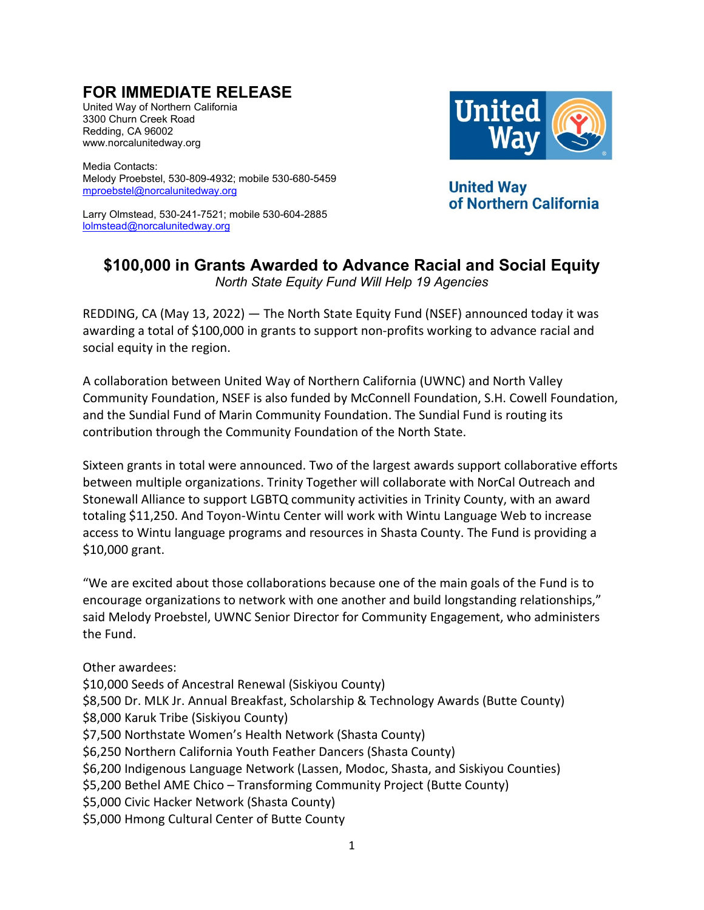## **FOR IMMEDIATE RELEASE**

United Way of Northern California 3300 Churn Creek Road Redding, CA 96002 www.norcalunitedway.org

Media Contacts: Melody Proebstel, 530-809-4932; mobile 530-680-5459 [mproebstel@norcalunitedway.org](mailto:mproebstel@norcalunitedway.org)

Larry Olmstead, 530-241-7521; mobile 530-604-2885 [lolmstead@norcalunitedway.org](mailto:lolmstead@norcalunitedway.org)



**United Way** of Northern California

## **\$100,000 in Grants Awarded to Advance Racial and Social Equity**

*North State Equity Fund Will Help 19 Agencies*

REDDING, CA (May 13, 2022) — The North State Equity Fund (NSEF) announced today it was awarding a total of \$100,000 in grants to support non-profits working to advance racial and social equity in the region.

A collaboration between United Way of Northern California (UWNC) and North Valley Community Foundation, NSEF is also funded by McConnell Foundation, S.H. Cowell Foundation, and the Sundial Fund of Marin Community Foundation. The Sundial Fund is routing its contribution through the Community Foundation of the North State.

Sixteen grants in total were announced. Two of the largest awards support collaborative efforts between multiple organizations. Trinity Together will collaborate with NorCal Outreach and Stonewall Alliance to support LGBTQ community activities in Trinity County, with an award totaling \$11,250. And Toyon-Wintu Center will work with Wintu Language Web to increase access to Wintu language programs and resources in Shasta County. The Fund is providing a \$10,000 grant.

"We are excited about those collaborations because one of the main goals of the Fund is to encourage organizations to network with one another and build longstanding relationships," said Melody Proebstel, UWNC Senior Director for Community Engagement, who administers the Fund.

Other awardees:

\$10,000 Seeds of Ancestral Renewal (Siskiyou County) \$8,500 Dr. MLK Jr. Annual Breakfast, Scholarship & Technology Awards (Butte County) \$8,000 Karuk Tribe (Siskiyou County) \$7,500 Northstate Women's Health Network (Shasta County) \$6,250 Northern California Youth Feather Dancers (Shasta County) \$6,200 Indigenous Language Network (Lassen, Modoc, Shasta, and Siskiyou Counties) \$5,200 Bethel AME Chico – Transforming Community Project (Butte County) \$5,000 Civic Hacker Network (Shasta County) \$5,000 Hmong Cultural Center of Butte County